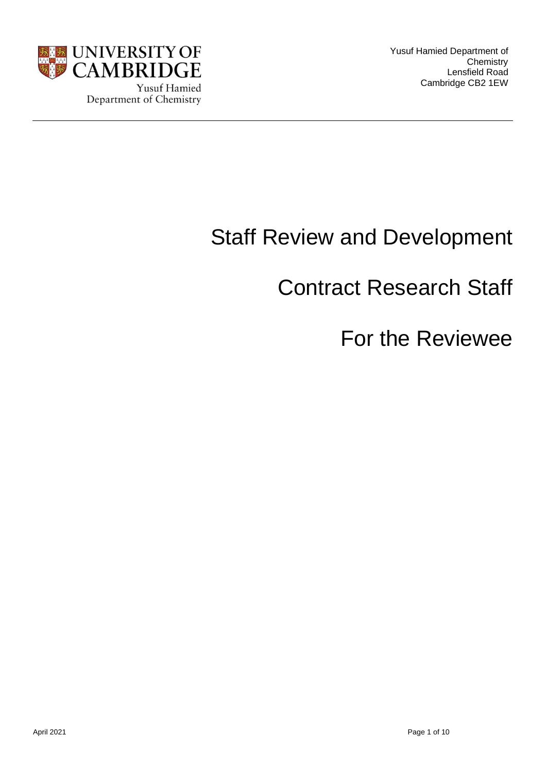

Yusuf Hamied Department of **Chemistry** Lensfield Road Cambridge CB2 1EW

# Staff Review and Development

# Contract Research Staff

# For the Reviewee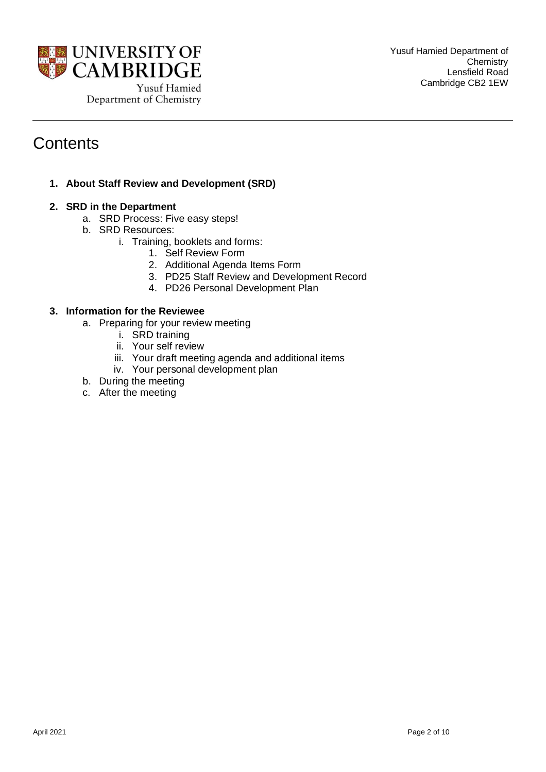

# **Contents**

**1. About Staff Review and Development (SRD)** 

# **2. SRD in the Department**

- a. SRD Process: Five easy steps!
- b. SRD Resources:
	- i. Training, booklets and forms:
		- 1. Self Review Form
		- 2. Additional Agenda Items Form
		- 3. PD25 Staff Review and Development Record
		- 4. PD26 Personal Development Plan

# **3. Information for the Reviewee**

- a. Preparing for your review meeting
	- i. SRD training
	- ii. Your self review
	- iii. Your draft meeting agenda and additional items
	- iv. Your personal development plan
- b. During the meeting
- c. After the meeting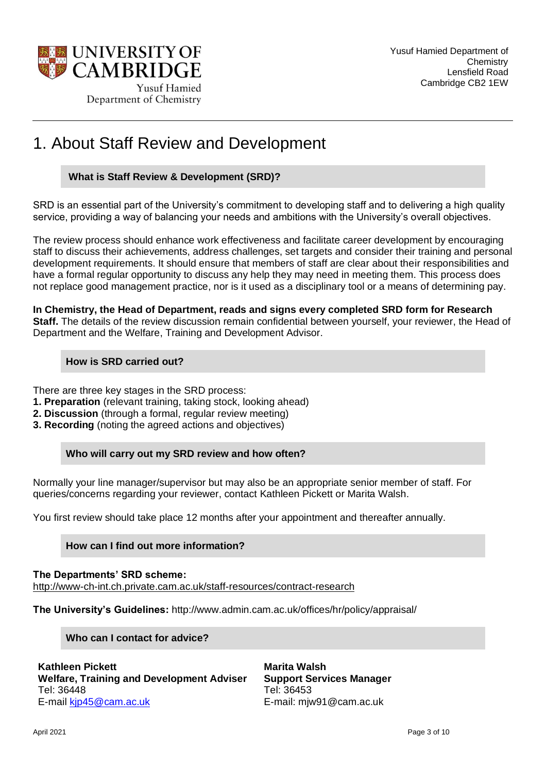

# 1. About Staff Review and Development

## **What is Staff Review & Development (SRD)?**

SRD is an essential part of the University's commitment to developing staff and to delivering a high quality service, providing a way of balancing your needs and ambitions with the University's overall objectives.

The review process should enhance work effectiveness and facilitate career development by encouraging staff to discuss their achievements, address challenges, set targets and consider their training and personal development requirements. It should ensure that members of staff are clear about their responsibilities and have a formal regular opportunity to discuss any help they may need in meeting them. This process does not replace good management practice, nor is it used as a disciplinary tool or a means of determining pay.

**In Chemistry, the Head of Department, reads and signs every completed SRD form for Research Staff.** The details of the review discussion remain confidential between yourself, your reviewer, the Head of Department and the Welfare, Training and Development Advisor.

## **How is SRD carried out?**

There are three key stages in the SRD process:

- **1. Preparation** (relevant training, taking stock, looking ahead)
- **2. Discussion** (through a formal, regular review meeting)
- **3. Recording** (noting the agreed actions and objectives)

## **Who will carry out my SRD review and how often?**

Normally your line manager/supervisor but may also be an appropriate senior member of staff. For queries/concerns regarding your reviewer, contact Kathleen Pickett or Marita Walsh.

You first review should take place 12 months after your appointment and thereafter annually.

# **How can I find out more information?**

**The Departments' SRD scheme:** <http://www-ch-int.ch.private.cam.ac.uk/staff-resources/contract-research>

**The University's Guidelines:** http://www.admin.cam.ac.uk/offices/hr/policy/appraisal/

**Who can I contact for advice?**

**Kathleen Pickett Welfare, Training and Development Adviser** Tel: 36448 E-mail [kjp45@cam.ac.uk](mailto:vhb23@cam.ac.uk)

**Marita Walsh Support Services Manager** Tel: 36453 E-mail: mjw91@cam.ac.uk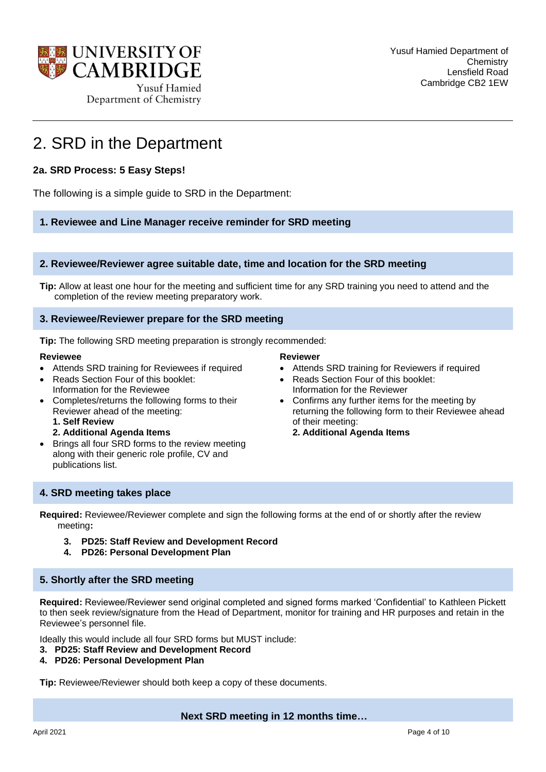

# 2. SRD in the Department

# **2a. SRD Process: 5 Easy Steps!**

The following is a simple guide to SRD in the Department:

**1. Reviewee and Line Manager receive reminder for SRD meeting** 

#### **2. Reviewee/Reviewer agree suitable date, time and location for the SRD meeting**

**Tip:** Allow at least one hour for the meeting and sufficient time for any SRD training you need to attend and the completion of the review meeting preparatory work.

#### **3. Reviewee/Reviewer prepare for the SRD meeting**

**Tip:** The following SRD meeting preparation is strongly recommended:

#### **Reviewee**

- Attends SRD training for Reviewees if required
- Reads Section Four of this booklet: Information for the Reviewee
- Completes/returns the following forms to their Reviewer ahead of the meeting:
	- **1. Self Review**
	- **2. Additional Agenda Items**
- Brings all four SRD forms to the review meeting along with their generic role profile, CV and publications list.

#### **Reviewer**

- Attends SRD training for Reviewers if required
- Reads Section Four of this booklet: Information for the Reviewer
- Confirms any further items for the meeting by returning the following form to their Reviewee ahead of their meeting:
	- **2. Additional Agenda Items**

## **4. SRD meeting takes place**

**Required:** Reviewee/Reviewer complete and sign the following forms at the end of or shortly after the review meeting**:** 

- **3. PD25: Staff Review and Development Record**
- **4. PD26: Personal Development Plan**

## **5. Shortly after the SRD meeting**

**Required:** Reviewee/Reviewer send original completed and signed forms marked 'Confidential' to Kathleen Pickett to then seek review/signature from the Head of Department, monitor for training and HR purposes and retain in the Reviewee's personnel file.

Ideally this would include all four SRD forms but MUST include:

- **3. PD25: Staff Review and Development Record**
- **4. PD26: Personal Development Plan**

**Tip:** Reviewee/Reviewer should both keep a copy of these documents.

**Next SRD meeting in 12 months time…**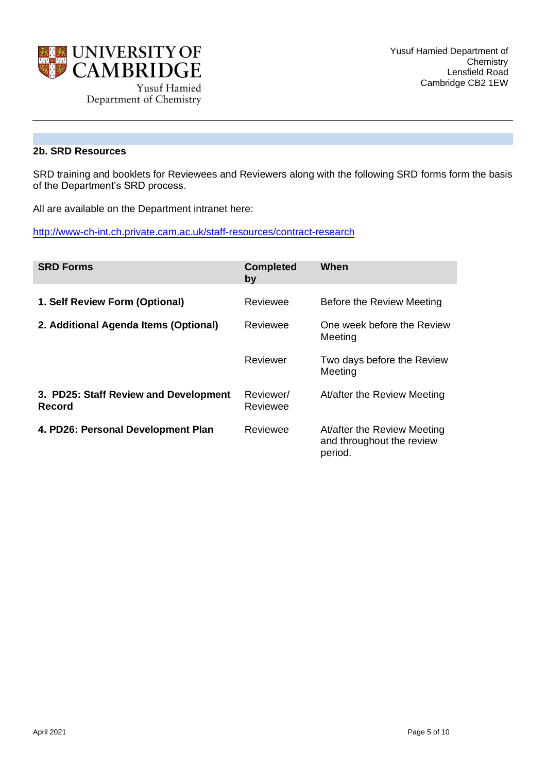

# **2b. SRD Resources**

SRD training and booklets for Reviewees and Reviewers along with the following SRD forms form the basis of the Department's SRD process.

All are available on the Department intranet here:

<http://www-ch-int.ch.private.cam.ac.uk/staff-resources/contract-research>

| <b>SRD Forms</b>                                | <b>Completed</b><br>by | When                                                                |
|-------------------------------------------------|------------------------|---------------------------------------------------------------------|
| 1. Self Review Form (Optional)                  | Reviewee               | Before the Review Meeting                                           |
| 2. Additional Agenda Items (Optional)           | Reviewee               | One week before the Review<br>Meeting                               |
|                                                 | Reviewer               | Two days before the Review<br>Meeting                               |
| 3. PD25: Staff Review and Development<br>Record | Reviewer/<br>Reviewee  | At/after the Review Meeting                                         |
| 4. PD26: Personal Development Plan              | Reviewee               | At/after the Review Meeting<br>and throughout the review<br>period. |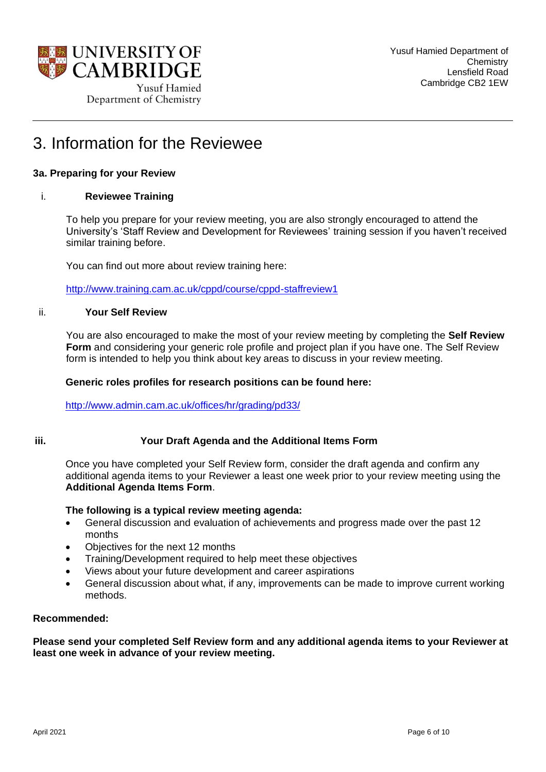

# 3. Information for the Reviewee

# **3a. Preparing for your Review**

## i. **Reviewee Training**

To help you prepare for your review meeting, you are also strongly encouraged to attend the University's 'Staff Review and Development for Reviewees' training session if you haven't received similar training before.

You can find out more about review training here:

<http://www.training.cam.ac.uk/cppd/course/cppd-staffreview1>

#### ii. **Your Self Review**

You are also encouraged to make the most of your review meeting by completing the **Self Review Form** and considering your generic role profile and project plan if you have one. The Self Review form is intended to help you think about key areas to discuss in your review meeting.

#### **Generic roles profiles for research positions can be found here:**

<http://www.admin.cam.ac.uk/offices/hr/grading/pd33/>

## **iii. Your Draft Agenda and the Additional Items Form**

Once you have completed your Self Review form, consider the draft agenda and confirm any additional agenda items to your Reviewer a least one week prior to your review meeting using the **Additional Agenda Items Form**.

#### **The following is a typical review meeting agenda:**

- General discussion and evaluation of achievements and progress made over the past 12 months
- Objectives for the next 12 months
- Training/Development required to help meet these objectives
- Views about your future development and career aspirations
- General discussion about what, if any, improvements can be made to improve current working methods.

#### **Recommended:**

**Please send your completed Self Review form and any additional agenda items to your Reviewer at least one week in advance of your review meeting.**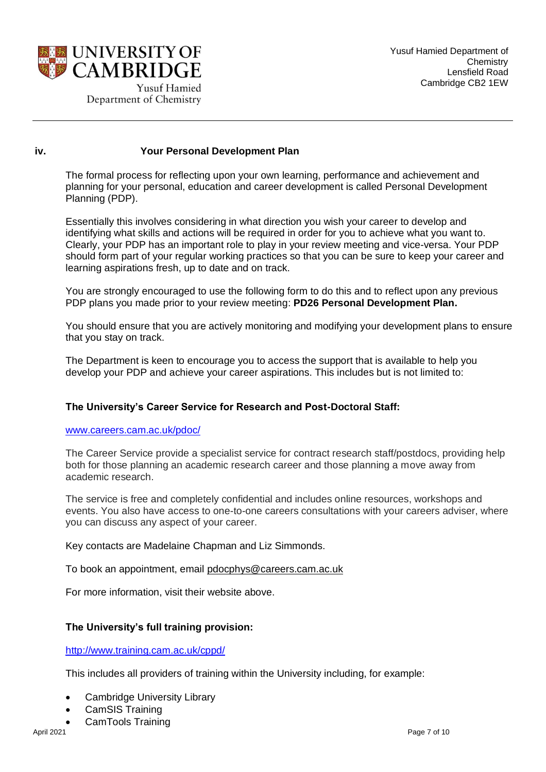

#### **iv. Your Personal Development Plan**

The formal process for reflecting upon your own learning, performance and achievement and planning for your personal, education and career development is called Personal Development Planning (PDP).

Essentially this involves considering in what direction you wish your career to develop and identifying what skills and actions will be required in order for you to achieve what you want to. Clearly, your PDP has an important role to play in your review meeting and vice-versa. Your PDP should form part of your regular working practices so that you can be sure to keep your career and learning aspirations fresh, up to date and on track.

You are strongly encouraged to use the following form to do this and to reflect upon any previous PDP plans you made prior to your review meeting: **PD26 Personal Development Plan.**

You should ensure that you are actively monitoring and modifying your development plans to ensure that you stay on track.

The Department is keen to encourage you to access the support that is available to help you develop your PDP and achieve your career aspirations. This includes but is not limited to:

## **The University's Career Service for Research and Post-Doctoral Staff:**

#### [www.careers.cam.ac.uk/pdoc/](http://www.careers.cam.ac.uk/pdoc/)

The Career Service provide a specialist service for contract research staff/postdocs, providing help both for those planning an academic research career and those planning a move away from academic research.

The service is free and completely confidential and includes online resources, workshops and events. You also have access to one-to-one careers consultations with your careers adviser, where you can discuss any aspect of your career.

Key contacts are Madelaine Chapman and Liz Simmonds.

To book an appointment, email [pdocphys@careers.cam.ac.uk](mailto:pdocphys@careers.cam.ac.uk)

For more information, visit their website above.

## **The University's full training provision:**

<http://www.training.cam.ac.uk/cppd/>

This includes all providers of training within the University including, for example:

- Cambridge University Library
- CamSIS Training
- CamTools Training<br>April 2021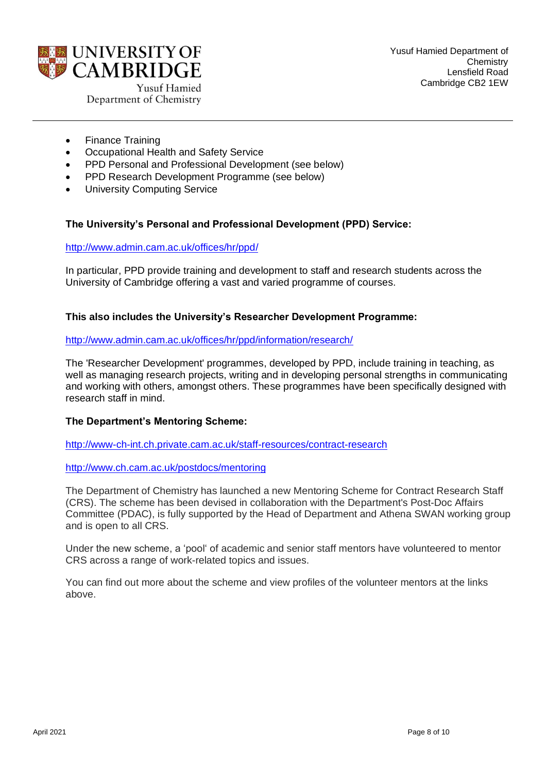

- Finance Training
- Occupational Health and Safety Service
- PPD Personal and Professional Development (see below)
- PPD Research Development Programme (see below)
- **University Computing Service**

# **The University's Personal and Professional Development (PPD) Service:**

<http://www.admin.cam.ac.uk/offices/hr/ppd/>

In particular, PPD provide training and development to staff and research students across the University of Cambridge offering a vast and varied programme of courses.

## **This also includes the University's Researcher Development Programme:**

#### <http://www.admin.cam.ac.uk/offices/hr/ppd/information/research/>

The 'Researcher Development' programmes, developed by PPD, include training in teaching, as well as managing research projects, writing and in developing personal strengths in communicating and working with others, amongst others. These programmes have been specifically designed with research staff in mind.

## **The Department's Mentoring Scheme:**

<http://www-ch-int.ch.private.cam.ac.uk/staff-resources/contract-research>

<http://www.ch.cam.ac.uk/postdocs/mentoring>

The Department of Chemistry has launched a new Mentoring Scheme for Contract Research Staff (CRS). The scheme has been devised in collaboration with the Department's Post-Doc Affairs Committee (PDAC), is fully supported by the Head of Department and Athena SWAN working group and is open to all CRS.

Under the new scheme, a 'pool' of academic and senior staff mentors have volunteered to mentor CRS across a range of work-related topics and issues.

You can find out more about the scheme and view profiles of the volunteer mentors at the links above.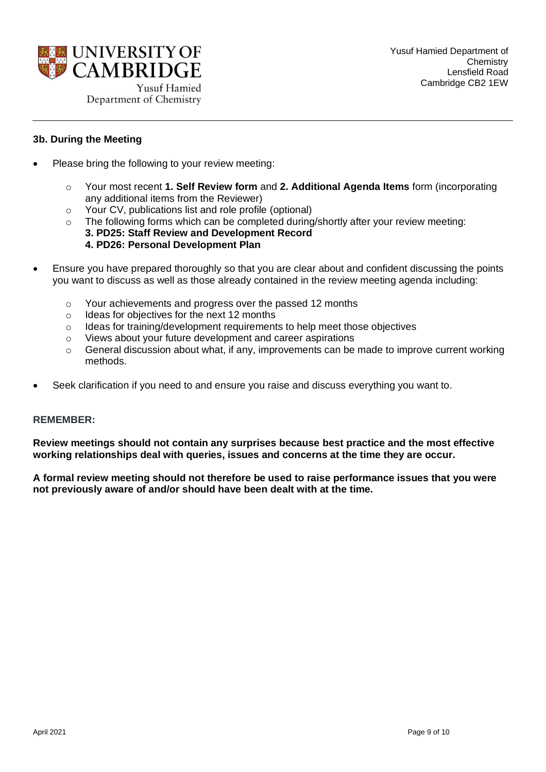

## **3b. During the Meeting**

- Please bring the following to your review meeting:
	- o Your most recent **1. Self Review form** and **2. Additional Agenda Items** form (incorporating any additional items from the Reviewer)
	- o Your CV, publications list and role profile (optional)
	- $\circ$  The following forms which can be completed during/shortly after your review meeting:
		- **3. PD25: Staff Review and Development Record 4. PD26: Personal Development Plan**
- Ensure you have prepared thoroughly so that you are clear about and confident discussing the points you want to discuss as well as those already contained in the review meeting agenda including:
	- o Your achievements and progress over the passed 12 months
	- o Ideas for objectives for the next 12 months
	- $\circ$  Ideas for training/development requirements to help meet those objectives
	- o Views about your future development and career aspirations
	- $\circ$  General discussion about what, if any, improvements can be made to improve current working methods.
- Seek clarification if you need to and ensure you raise and discuss everything you want to.

#### **REMEMBER:**

**Review meetings should not contain any surprises because best practice and the most effective working relationships deal with queries, issues and concerns at the time they are occur.** 

**A formal review meeting should not therefore be used to raise performance issues that you were not previously aware of and/or should have been dealt with at the time.**